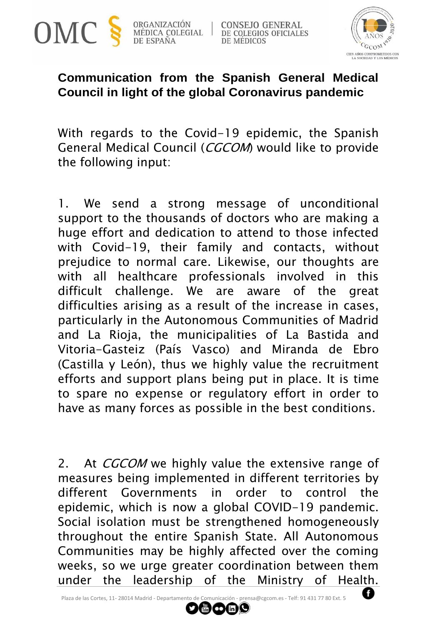

ORGANIZACIÓN MÉDICA COLEGIAL DE ESPAÑA

**CONSEJO GENERAL** DE COLEGIOS OFICIALES **DE MÉDICOS** 



## **Communication from the Spanish General Medical Council in light of the global Coronavirus pandemic**

With regards to the Covid-19 epidemic, the Spanish General Medical Council (CGCOM) would like to provide the following input:

1. We send a strong message of unconditional support to the thousands of doctors who are making a huge effort and dedication to attend to those infected with Covid-19, their family and contacts, without prejudice to normal care. Likewise, our thoughts are with all healthcare professionals involved in this difficult challenge. We are aware of the great difficulties arising as a result of the increase in cases, particularly in the Autonomous Communities of Madrid and La Rioja, the municipalities of La Bastida and Vitoria-Gasteiz (País Vasco) and Miranda de Ebro (Castilla y León), thus we highly value the recruitment efforts and support plans being put in place. It is time to spare no expense or regulatory effort in order to have as many forces as possible in the best conditions.

2. At *CGCOM* we highly value the extensive range of measures being implemented in different territories by different Governments in order to control the epidemic, which is now a global COVID-19 pandemic. Social isolation must be strengthened homogeneously throughout the entire Spanish State. All Autonomous Communities may be highly affected over the coming weeks, so we urge greater coordination between them under the leadership of the Ministry of Health.

 $\mathbf{D}$  (a) (c) (in )

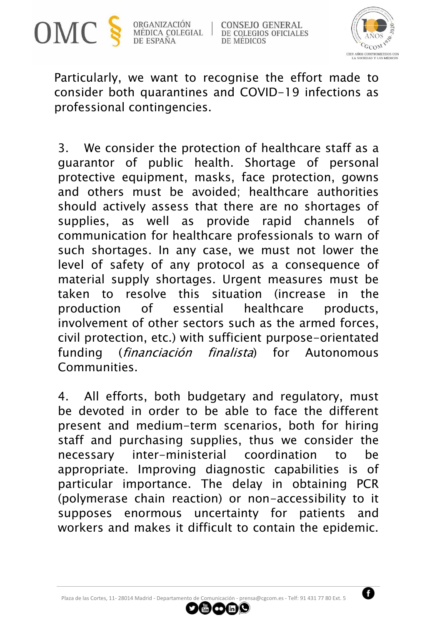

ORGANIZACIÓN MÉDICA COLEGIAL DE ESPAÑA

**CONSEJO GENERAL** DE COLEGIOS OFICIALES DE MÉDICOS



Particularly, we want to recognise the effort made to consider both quarantines and COVID-19 infections as professional contingencies.

3. We consider the protection of healthcare staff as a guarantor of public health. Shortage of personal protective equipment, masks, face protection, gowns and others must be avoided; healthcare authorities should actively assess that there are no shortages of supplies, as well as provide rapid channels of communication for healthcare professionals to warn of such shortages. In any case, we must not lower the level of safety of any protocol as a consequence of material supply shortages. Urgent measures must be taken to resolve this situation (increase in the production of essential healthcare products, involvement of other sectors such as the armed forces, civil protection, etc.) with sufficient purpose-orientated funding (financiación finalista) for Autonomous Communities.

4. All efforts, both budgetary and regulatory, must be devoted in order to be able to face the different present and medium-term scenarios, both for hiring staff and purchasing supplies, thus we consider the necessary inter-ministerial coordination to be appropriate. Improving diagnostic capabilities is of particular importance. The delay in obtaining PCR (polymerase chain reaction) or non-accessibility to it supposes enormous uncertainty for patients and workers and makes it difficult to contain the epidemic.

 $\mathbf{m}$  or  $\mathbf{n}$  (c)